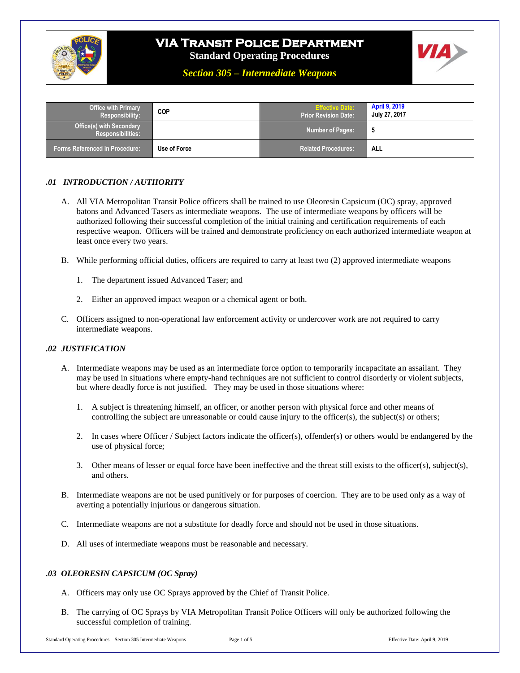

# **VIA Transit Police Department**

**Standard Operating Procedures**



*Section 305 – Intermediate Weapons*

| <b>Office with Primary</b><br><b>Responsibility:</b>        | COP          | <b>Effective Date:</b><br>Prior Revision Date: \ | <b>April 9, 2019</b><br>July 27, 2017 |
|-------------------------------------------------------------|--------------|--------------------------------------------------|---------------------------------------|
| <b>Office(s) with Secondary</b><br><b>Responsibilities:</b> |              | <b>Number of Pages:</b>                          | - 5                                   |
| <b>Forms Referenced in Procedure:</b>                       | Use of Force | <b>Related Procedures:</b>                       | <b>ALL</b>                            |

## *.01 INTRODUCTION / AUTHORITY*

- A. All VIA Metropolitan Transit Police officers shall be trained to use Oleoresin Capsicum (OC) spray, approved batons and Advanced Tasers as intermediate weapons. The use of intermediate weapons by officers will be authorized following their successful completion of the initial training and certification requirements of each respective weapon. Officers will be trained and demonstrate proficiency on each authorized intermediate weapon at least once every two years.
- B. While performing official duties, officers are required to carry at least two (2) approved intermediate weapons
	- 1. The department issued Advanced Taser; and
	- 2. Either an approved impact weapon or a chemical agent or both.
- C. Officers assigned to non-operational law enforcement activity or undercover work are not required to carry intermediate weapons.

#### *.02 JUSTIFICATION*

- A. Intermediate weapons may be used as an intermediate force option to temporarily incapacitate an assailant. They may be used in situations where empty-hand techniques are not sufficient to control disorderly or violent subjects, but where deadly force is not justified. They may be used in those situations where:
	- 1. A subject is threatening himself, an officer, or another person with physical force and other means of controlling the subject are unreasonable or could cause injury to the officer(s), the subject(s) or others;
	- 2. In cases where Officer / Subject factors indicate the officer(s), offender(s) or others would be endangered by the use of physical force;
	- 3. Other means of lesser or equal force have been ineffective and the threat still exists to the officer(s), subject(s), and others.
- B. Intermediate weapons are not be used punitively or for purposes of coercion. They are to be used only as a way of averting a potentially injurious or dangerous situation.
- C. Intermediate weapons are not a substitute for deadly force and should not be used in those situations.
- D. All uses of intermediate weapons must be reasonable and necessary.

#### *.03 OLEORESIN CAPSICUM (OC Spray)*

- A. Officers may only use OC Sprays approved by the Chief of Transit Police.
- B. The carrying of OC Sprays by VIA Metropolitan Transit Police Officers will only be authorized following the successful completion of training.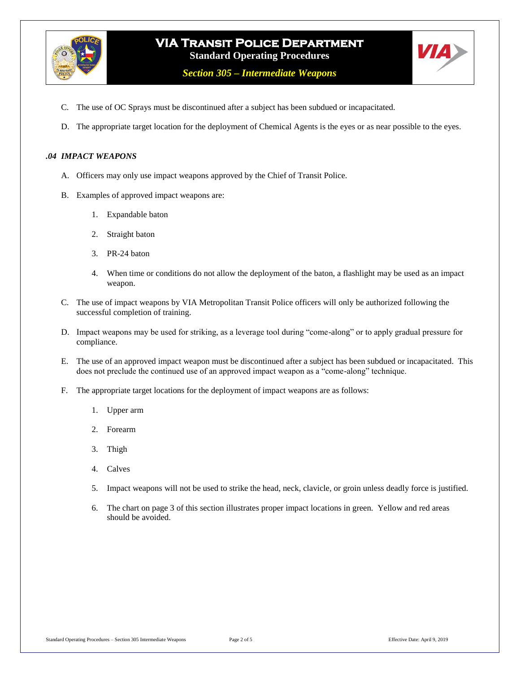

*Section 305 – Intermediate Weapons*

- C. The use of OC Sprays must be discontinued after a subject has been subdued or incapacitated.
- D. The appropriate target location for the deployment of Chemical Agents is the eyes or as near possible to the eyes.

#### *.04 IMPACT WEAPONS*

- A. Officers may only use impact weapons approved by the Chief of Transit Police.
- B. Examples of approved impact weapons are:
	- 1. Expandable baton
	- 2. Straight baton
	- 3. PR-24 baton
	- 4. When time or conditions do not allow the deployment of the baton, a flashlight may be used as an impact weapon.
- C. The use of impact weapons by VIA Metropolitan Transit Police officers will only be authorized following the successful completion of training.
- D. Impact weapons may be used for striking, as a leverage tool during "come-along" or to apply gradual pressure for compliance.
- E. The use of an approved impact weapon must be discontinued after a subject has been subdued or incapacitated. This does not preclude the continued use of an approved impact weapon as a "come-along" technique.
- F. The appropriate target locations for the deployment of impact weapons are as follows:
	- 1. Upper arm
	- 2. Forearm
	- 3. Thigh
	- 4. Calves
	- 5. Impact weapons will not be used to strike the head, neck, clavicle, or groin unless deadly force is justified.
	- 6. The chart on page 3 of this section illustrates proper impact locations in green. Yellow and red areas should be avoided.

VIA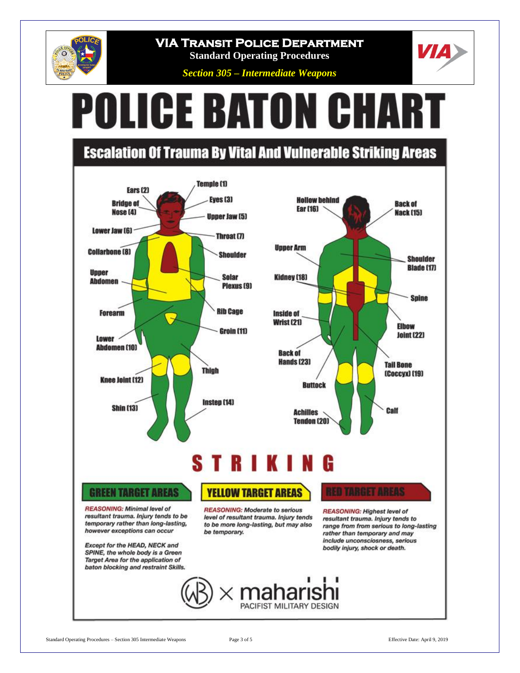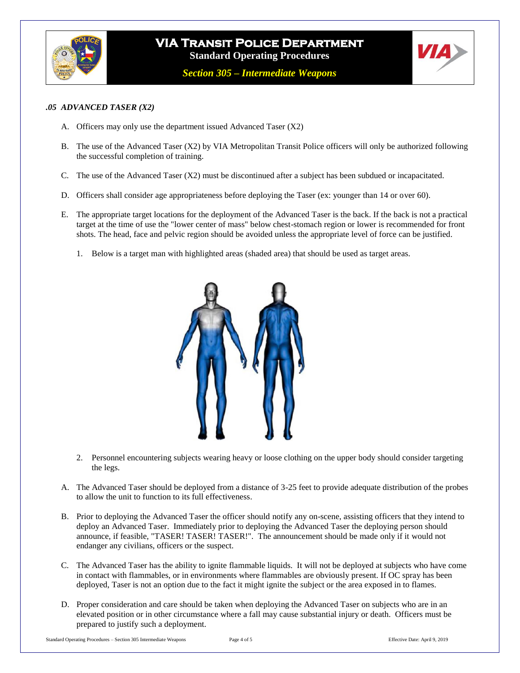

# **VIA Transit Police Department Standard Operating Procedures**

*Section 305 – Intermediate Weapons*



#### *.05 ADVANCED TASER (X2)*

- A. Officers may only use the department issued Advanced Taser (X2)
- B. The use of the Advanced Taser (X2) by VIA Metropolitan Transit Police officers will only be authorized following the successful completion of training.
- C. The use of the Advanced Taser (X2) must be discontinued after a subject has been subdued or incapacitated.
- D. Officers shall consider age appropriateness before deploying the Taser (ex: younger than 14 or over 60).
- E. The appropriate target locations for the deployment of the Advanced Taser is the back. If the back is not a practical target at the time of use the "lower center of mass" below chest-stomach region or lower is recommended for front shots. The head, face and pelvic region should be avoided unless the appropriate level of force can be justified.
	- 1. Below is a target man with highlighted areas (shaded area) that should be used as target areas.



- 2. Personnel encountering subjects wearing heavy or loose clothing on the upper body should consider targeting the legs.
- A. The Advanced Taser should be deployed from a distance of 3-25 feet to provide adequate distribution of the probes to allow the unit to function to its full effectiveness.
- B. Prior to deploying the Advanced Taser the officer should notify any on-scene, assisting officers that they intend to deploy an Advanced Taser. Immediately prior to deploying the Advanced Taser the deploying person should announce, if feasible, "TASER! TASER! TASER!". The announcement should be made only if it would not endanger any civilians, officers or the suspect.
- C. The Advanced Taser has the ability to ignite flammable liquids. It will not be deployed at subjects who have come in contact with flammables, or in environments where flammables are obviously present. If OC spray has been deployed, Taser is not an option due to the fact it might ignite the subject or the area exposed in to flames.
- D. Proper consideration and care should be taken when deploying the Advanced Taser on subjects who are in an elevated position or in other circumstance where a fall may cause substantial injury or death. Officers must be prepared to justify such a deployment.